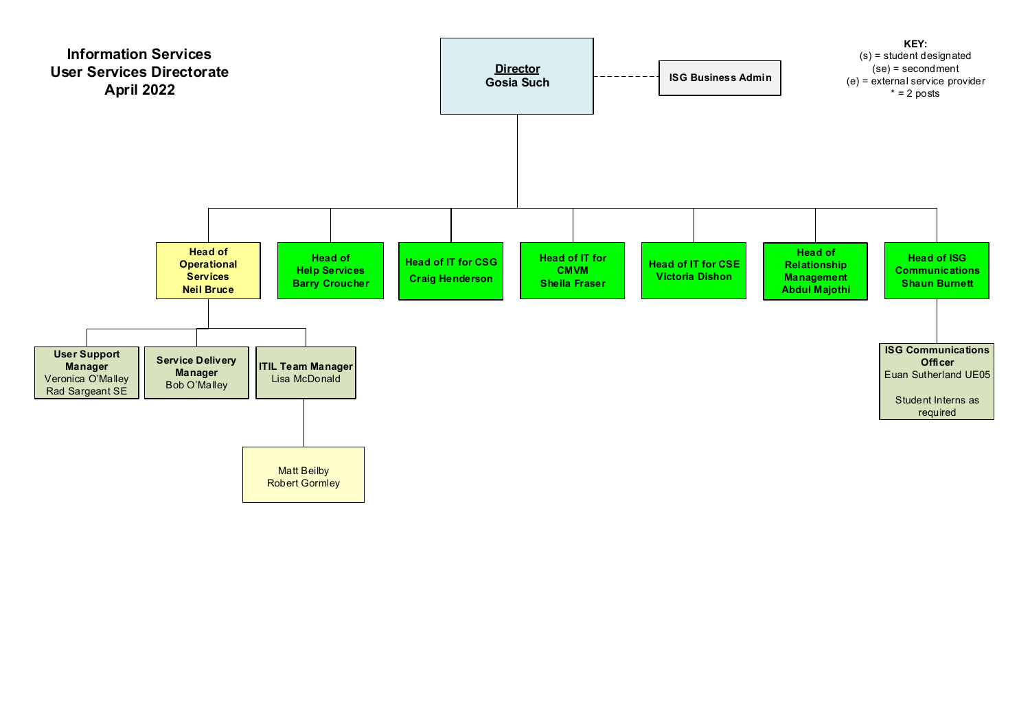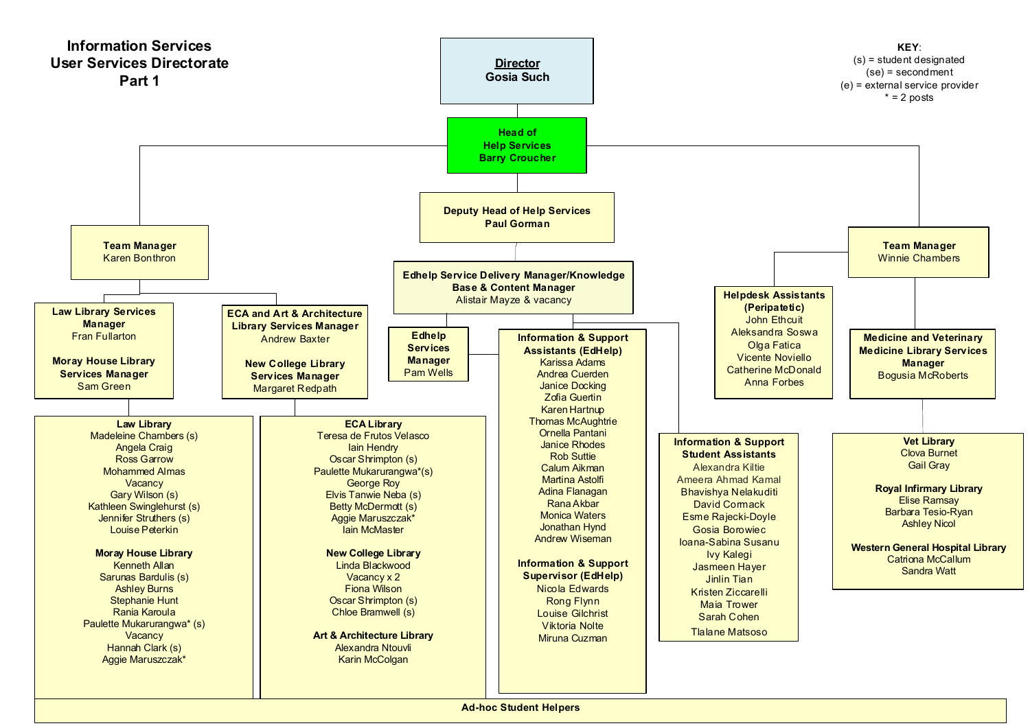

**Ad-hoc Student Helpers**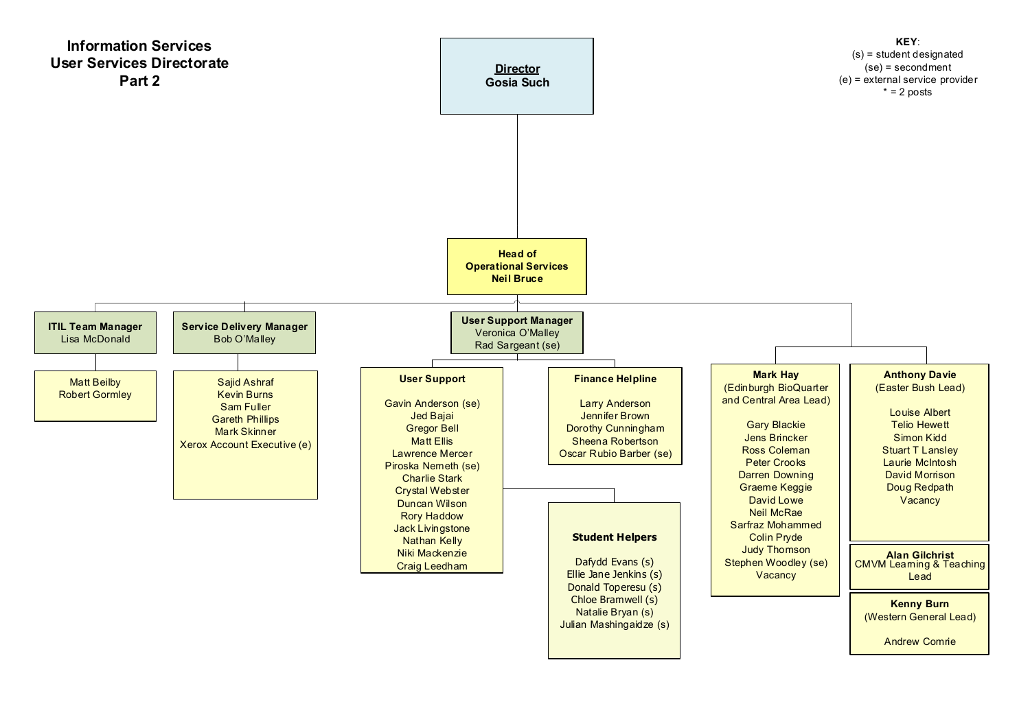